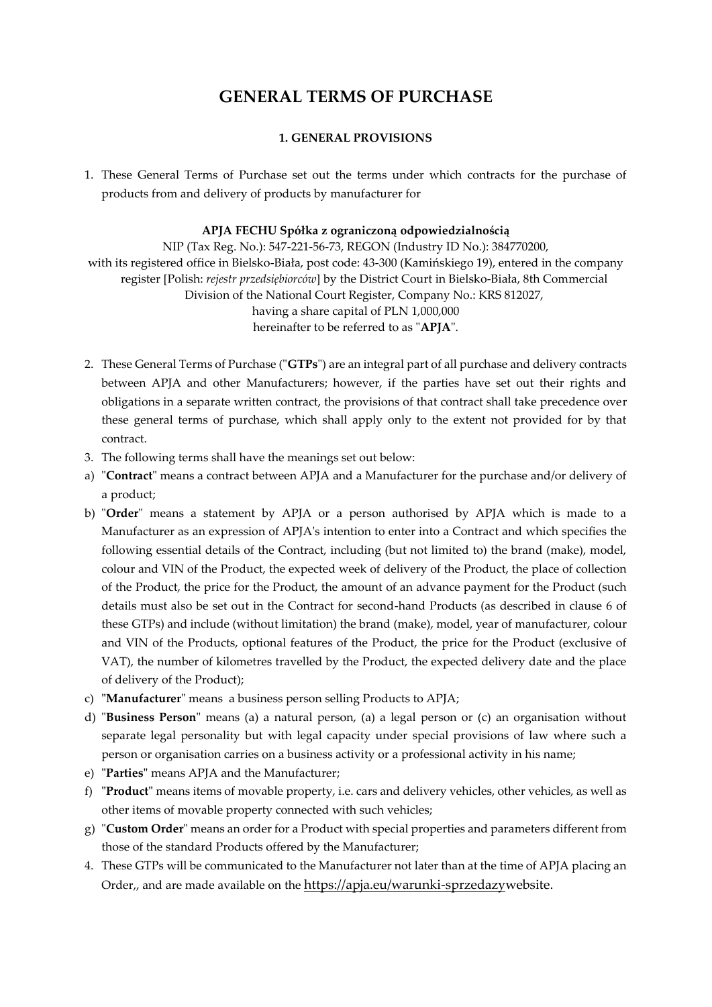# **GENERAL TERMS OF PURCHASE**

# **1. GENERAL PROVISIONS**

1. These General Terms of Purchase set out the terms under which contracts for the purchase of products from and delivery of products by manufacturer for

## **APJA FECHU Spółka z ograniczoną odpowiedzialnością**

NIP (Tax Reg. No.): 547-221-56-73, REGON (Industry ID No.): 384770200, with its registered office in Bielsko-Biała, post code: 43-300 (Kamińskiego 19), entered in the company register [Polish: *rejestr przedsiębiorców*] by the District Court in Bielsko-Biała, 8th Commercial Division of the National Court Register, Company No.: KRS 812027, having a share capital of PLN 1,000,000 hereinafter to be referred to as "**APJA**".

- 2. These General Terms of Purchase ("**GTPs**") are an integral part of all purchase and delivery contracts between APJA and other Manufacturers; however, if the parties have set out their rights and obligations in a separate written contract, the provisions of that contract shall take precedence over these general terms of purchase, which shall apply only to the extent not provided for by that contract.
- 3. The following terms shall have the meanings set out below:
- a) "**Contract**" means a contract between APJA and a Manufacturer for the purchase and/or delivery of a product;
- b) "**Order**" means a statement by APJA or a person authorised by APJA which is made to a Manufacturer as an expression of APJA's intention to enter into a Contract and which specifies the following essential details of the Contract, including (but not limited to) the brand (make), model, colour and VIN of the Product, the expected week of delivery of the Product, the place of collection of the Product, the price for the Product, the amount of an advance payment for the Product (such details must also be set out in the Contract for second-hand Products (as described in clause 6 of these GTPs) and include (without limitation) the brand (make), model, year of manufacturer, colour and VIN of the Products, optional features of the Product, the price for the Product (exclusive of VAT), the number of kilometres travelled by the Product, the expected delivery date and the place of delivery of the Product);
- c) **"Manufacturer**" means a business person selling Products to APJA;
- d) "**Business Person**" means (a) a natural person, (a) a legal person or (c) an organisation without separate legal personality but with legal capacity under special provisions of law where such a person or organisation carries on a business activity or a professional activity in his name;
- e) **"Parties"** means APJA and the Manufacturer;
- f) **"Product"** means items of movable property, i.e. cars and delivery vehicles, other vehicles, as well as other items of movable property connected with such vehicles;
- g) "**Custom Order**" means an order for a Product with special properties and parameters different from those of the standard Products offered by the Manufacturer;
- 4. These GTPs will be communicated to the Manufacturer not later than at the time of APJA placing an Order,, and are made available on the [https://apja.eu/warunki-sprzedazyw](about:blank)ebsite.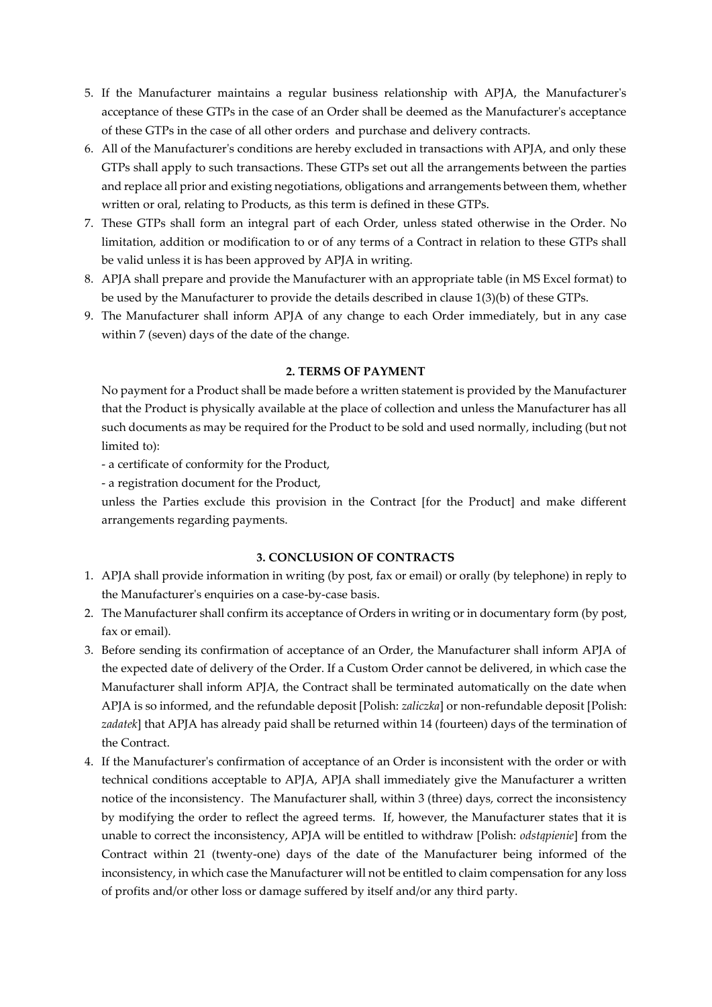- 5. If the Manufacturer maintains a regular business relationship with APJA, the Manufacturer's acceptance of these GTPs in the case of an Order shall be deemed as the Manufacturer's acceptance of these GTPs in the case of all other orders and purchase and delivery contracts.
- 6. All of the Manufacturer's conditions are hereby excluded in transactions with APJA, and only these GTPs shall apply to such transactions. These GTPs set out all the arrangements between the parties and replace all prior and existing negotiations, obligations and arrangements between them, whether written or oral, relating to Products, as this term is defined in these GTPs.
- 7. These GTPs shall form an integral part of each Order, unless stated otherwise in the Order. No limitation, addition or modification to or of any terms of a Contract in relation to these GTPs shall be valid unless it is has been approved by APJA in writing.
- 8. APJA shall prepare and provide the Manufacturer with an appropriate table (in MS Excel format) to be used by the Manufacturer to provide the details described in clause 1(3)(b) of these GTPs.
- 9. The Manufacturer shall inform APJA of any change to each Order immediately, but in any case within 7 (seven) days of the date of the change.

## **2. TERMS OF PAYMENT**

No payment for a Product shall be made before a written statement is provided by the Manufacturer that the Product is physically available at the place of collection and unless the Manufacturer has all such documents as may be required for the Product to be sold and used normally, including (but not limited to):

- a certificate of conformity for the Product,
- a registration document for the Product,

unless the Parties exclude this provision in the Contract [for the Product] and make different arrangements regarding payments.

# **3. CONCLUSION OF CONTRACTS**

- 1. APJA shall provide information in writing (by post, fax or email) or orally (by telephone) in reply to the Manufacturer's enquiries on a case-by-case basis.
- 2. The Manufacturer shall confirm its acceptance of Orders in writing or in documentary form (by post, fax or email).
- 3. Before sending its confirmation of acceptance of an Order, the Manufacturer shall inform APJA of the expected date of delivery of the Order. If a Custom Order cannot be delivered, in which case the Manufacturer shall inform APJA, the Contract shall be terminated automatically on the date when APJA is so informed, and the refundable deposit [Polish: *zaliczka*] or non-refundable deposit [Polish: *zadatek*] that APJA has already paid shall be returned within 14 (fourteen) days of the termination of the Contract.
- 4. If the Manufacturer's confirmation of acceptance of an Order is inconsistent with the order or with technical conditions acceptable to APJA, APJA shall immediately give the Manufacturer a written notice of the inconsistency. The Manufacturer shall, within 3 (three) days, correct the inconsistency by modifying the order to reflect the agreed terms. If, however, the Manufacturer states that it is unable to correct the inconsistency, APJA will be entitled to withdraw [Polish: *odstąpienie*] from the Contract within 21 (twenty-one) days of the date of the Manufacturer being informed of the inconsistency, in which case the Manufacturer will not be entitled to claim compensation for any loss of profits and/or other loss or damage suffered by itself and/or any third party.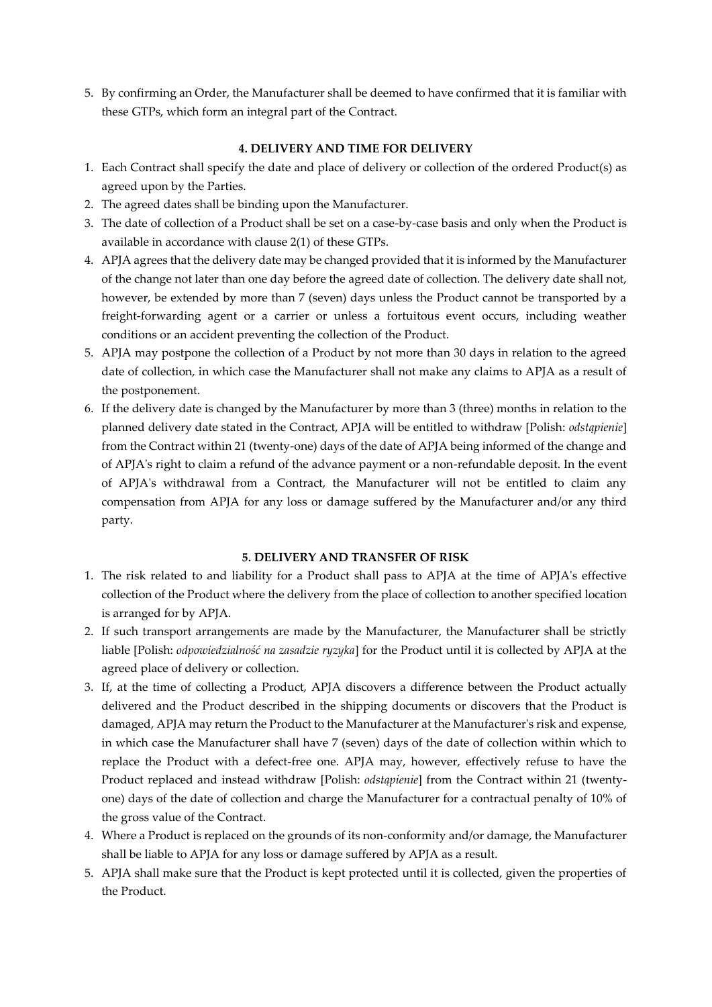5. By confirming an Order, the Manufacturer shall be deemed to have confirmed that it is familiar with these GTPs, which form an integral part of the Contract.

# **4. DELIVERY AND TIME FOR DELIVERY**

- 1. Each Contract shall specify the date and place of delivery or collection of the ordered Product(s) as agreed upon by the Parties.
- 2. The agreed dates shall be binding upon the Manufacturer.
- 3. The date of collection of a Product shall be set on a case-by-case basis and only when the Product is available in accordance with clause 2(1) of these GTPs.
- 4. APJA agrees that the delivery date may be changed provided that it is informed by the Manufacturer of the change not later than one day before the agreed date of collection. The delivery date shall not, however, be extended by more than 7 (seven) days unless the Product cannot be transported by a freight-forwarding agent or a carrier or unless a fortuitous event occurs, including weather conditions or an accident preventing the collection of the Product.
- 5. APJA may postpone the collection of a Product by not more than 30 days in relation to the agreed date of collection, in which case the Manufacturer shall not make any claims to APJA as a result of the postponement.
- 6. If the delivery date is changed by the Manufacturer by more than 3 (three) months in relation to the planned delivery date stated in the Contract, APJA will be entitled to withdraw [Polish: *odstąpienie*] from the Contract within 21 (twenty-one) days of the date of APJA being informed of the change and of APJA's right to claim a refund of the advance payment or a non-refundable deposit. In the event of APJA's withdrawal from a Contract, the Manufacturer will not be entitled to claim any compensation from APJA for any loss or damage suffered by the Manufacturer and/or any third party.

#### **5. DELIVERY AND TRANSFER OF RISK**

- 1. The risk related to and liability for a Product shall pass to APJA at the time of APJA's effective collection of the Product where the delivery from the place of collection to another specified location is arranged for by APJA.
- 2. If such transport arrangements are made by the Manufacturer, the Manufacturer shall be strictly liable [Polish: *odpowiedzialność na zasadzie ryzyka*] for the Product until it is collected by APJA at the agreed place of delivery or collection.
- 3. If, at the time of collecting a Product, APJA discovers a difference between the Product actually delivered and the Product described in the shipping documents or discovers that the Product is damaged, APJA may return the Product to the Manufacturer at the Manufacturer's risk and expense, in which case the Manufacturer shall have 7 (seven) days of the date of collection within which to replace the Product with a defect-free one. APJA may, however, effectively refuse to have the Product replaced and instead withdraw [Polish: *odstąpienie*] from the Contract within 21 (twentyone) days of the date of collection and charge the Manufacturer for a contractual penalty of 10% of the gross value of the Contract.
- 4. Where a Product is replaced on the grounds of its non-conformity and/or damage, the Manufacturer shall be liable to APJA for any loss or damage suffered by APJA as a result.
- 5. APJA shall make sure that the Product is kept protected until it is collected, given the properties of the Product.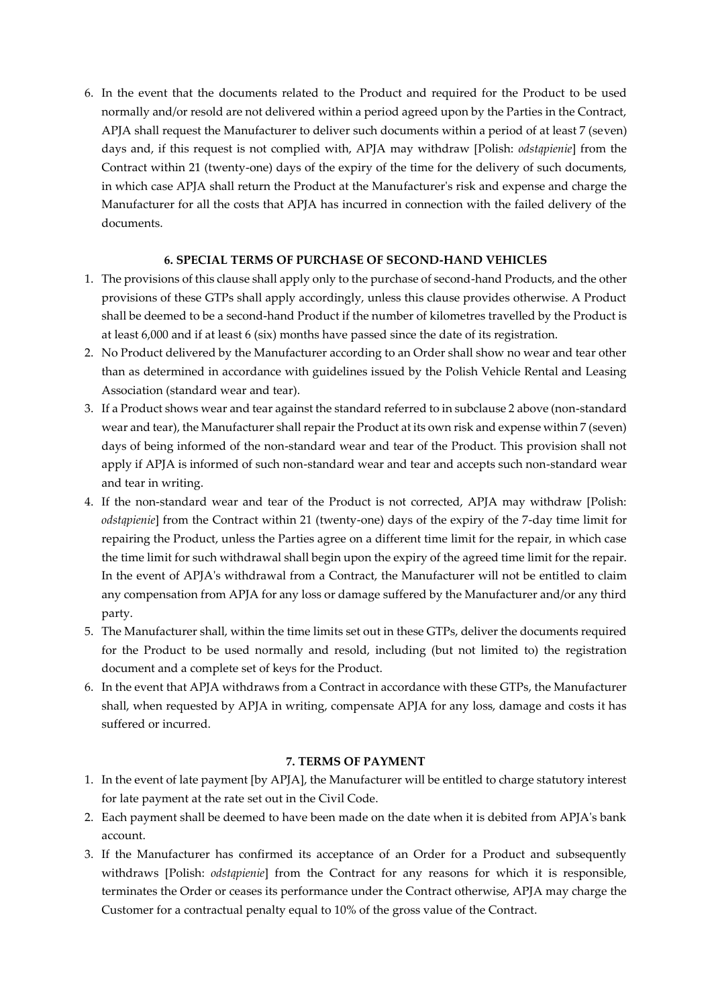6. In the event that the documents related to the Product and required for the Product to be used normally and/or resold are not delivered within a period agreed upon by the Parties in the Contract, APJA shall request the Manufacturer to deliver such documents within a period of at least 7 (seven) days and, if this request is not complied with, APJA may withdraw [Polish: *odstąpienie*] from the Contract within 21 (twenty-one) days of the expiry of the time for the delivery of such documents, in which case APJA shall return the Product at the Manufacturer's risk and expense and charge the Manufacturer for all the costs that APJA has incurred in connection with the failed delivery of the documents.

# **6. SPECIAL TERMS OF PURCHASE OF SECOND-HAND VEHICLES**

- 1. The provisions of this clause shall apply only to the purchase of second-hand Products, and the other provisions of these GTPs shall apply accordingly, unless this clause provides otherwise. A Product shall be deemed to be a second-hand Product if the number of kilometres travelled by the Product is at least 6,000 and if at least 6 (six) months have passed since the date of its registration.
- 2. No Product delivered by the Manufacturer according to an Order shall show no wear and tear other than as determined in accordance with guidelines issued by the Polish Vehicle Rental and Leasing Association (standard wear and tear).
- 3. If a Product shows wear and tear against the standard referred to in subclause 2 above (non-standard wear and tear), the Manufacturer shall repair the Product at its own risk and expense within 7 (seven) days of being informed of the non-standard wear and tear of the Product. This provision shall not apply if APJA is informed of such non-standard wear and tear and accepts such non-standard wear and tear in writing.
- 4. If the non-standard wear and tear of the Product is not corrected, APJA may withdraw [Polish: *odstąpienie*] from the Contract within 21 (twenty-one) days of the expiry of the 7-day time limit for repairing the Product, unless the Parties agree on a different time limit for the repair, in which case the time limit for such withdrawal shall begin upon the expiry of the agreed time limit for the repair. In the event of APJA's withdrawal from a Contract, the Manufacturer will not be entitled to claim any compensation from APJA for any loss or damage suffered by the Manufacturer and/or any third party.
- 5. The Manufacturer shall, within the time limits set out in these GTPs, deliver the documents required for the Product to be used normally and resold, including (but not limited to) the registration document and a complete set of keys for the Product.
- 6. In the event that APJA withdraws from a Contract in accordance with these GTPs, the Manufacturer shall, when requested by APJA in writing, compensate APJA for any loss, damage and costs it has suffered or incurred.

## **7. TERMS OF PAYMENT**

- 1. In the event of late payment [by APJA], the Manufacturer will be entitled to charge statutory interest for late payment at the rate set out in the Civil Code.
- 2. Each payment shall be deemed to have been made on the date when it is debited from APJA's bank account.
- 3. If the Manufacturer has confirmed its acceptance of an Order for a Product and subsequently withdraws [Polish: *odstąpienie*] from the Contract for any reasons for which it is responsible, terminates the Order or ceases its performance under the Contract otherwise, APJA may charge the Customer for a contractual penalty equal to 10% of the gross value of the Contract.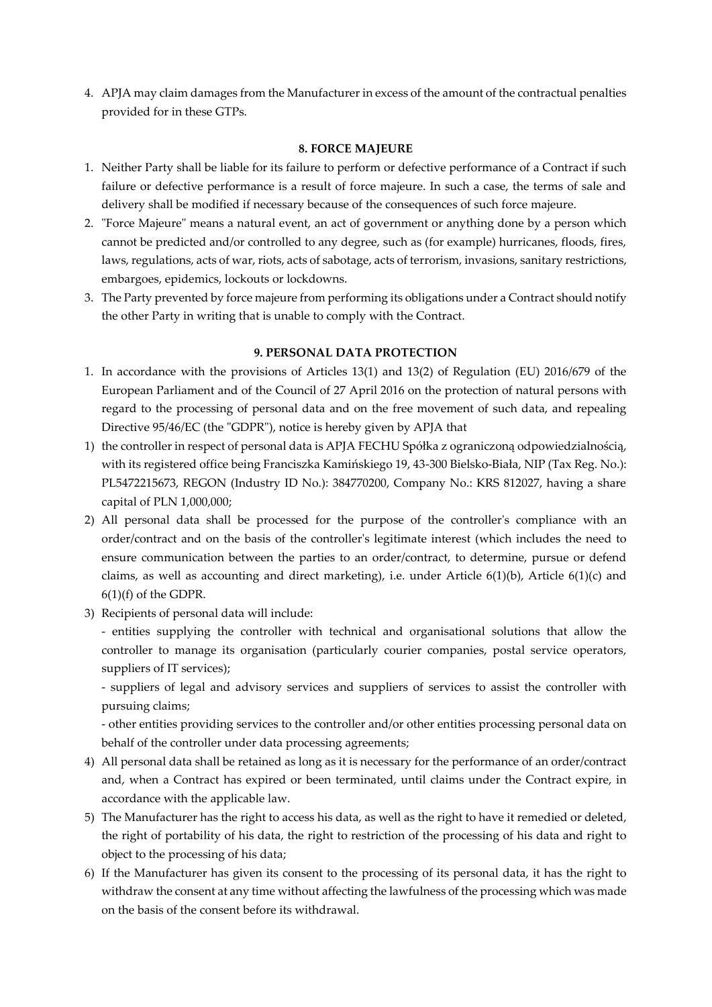4. APJA may claim damages from the Manufacturer in excess of the amount of the contractual penalties provided for in these GTPs.

## **8. FORCE MAJEURE**

- 1. Neither Party shall be liable for its failure to perform or defective performance of a Contract if such failure or defective performance is a result of force majeure. In such a case, the terms of sale and delivery shall be modified if necessary because of the consequences of such force majeure.
- 2. "Force Majeure" means a natural event, an act of government or anything done by a person which cannot be predicted and/or controlled to any degree, such as (for example) hurricanes, floods, fires, laws, regulations, acts of war, riots, acts of sabotage, acts of terrorism, invasions, sanitary restrictions, embargoes, epidemics, lockouts or lockdowns.
- 3. The Party prevented by force majeure from performing its obligations under a Contract should notify the other Party in writing that is unable to comply with the Contract.

## **9. PERSONAL DATA PROTECTION**

- 1. In accordance with the provisions of Articles 13(1) and 13(2) of Regulation (EU) 2016/679 of the European Parliament and of the Council of 27 April 2016 on the protection of natural persons with regard to the processing of personal data and on the free movement of such data, and repealing Directive 95/46/EC (the "GDPR"), notice is hereby given by APJA that
- 1) the controller in respect of personal data is APJA FECHU Spółka z ograniczoną odpowiedzialnością, with its registered office being Franciszka Kamińskiego 19, 43-300 Bielsko-Biała, NIP (Tax Reg. No.): PL5472215673, REGON (Industry ID No.): 384770200, Company No.: KRS 812027, having a share capital of PLN 1,000,000;
- 2) All personal data shall be processed for the purpose of the controller's compliance with an order/contract and on the basis of the controller's legitimate interest (which includes the need to ensure communication between the parties to an order/contract, to determine, pursue or defend claims, as well as accounting and direct marketing), i.e. under Article 6(1)(b), Article 6(1)(c) and 6(1)(f) of the GDPR.
- 3) Recipients of personal data will include:

- entities supplying the controller with technical and organisational solutions that allow the controller to manage its organisation (particularly courier companies, postal service operators, suppliers of IT services);

- suppliers of legal and advisory services and suppliers of services to assist the controller with pursuing claims;

- other entities providing services to the controller and/or other entities processing personal data on behalf of the controller under data processing agreements;

- 4) All personal data shall be retained as long as it is necessary for the performance of an order/contract and, when a Contract has expired or been terminated, until claims under the Contract expire, in accordance with the applicable law.
- 5) The Manufacturer has the right to access his data, as well as the right to have it remedied or deleted, the right of portability of his data, the right to restriction of the processing of his data and right to object to the processing of his data;
- 6) If the Manufacturer has given its consent to the processing of its personal data, it has the right to withdraw the consent at any time without affecting the lawfulness of the processing which was made on the basis of the consent before its withdrawal.